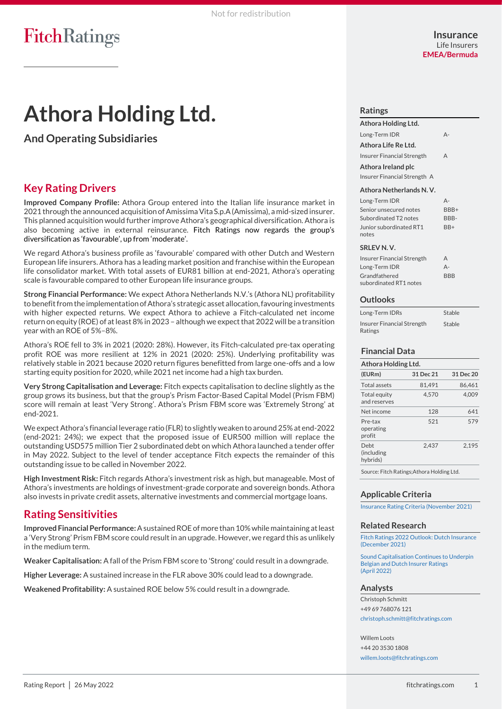# **Athora Holding Ltd.**

**And Operating Subsidiaries**

# **Key Rating Drivers**

**Improved Company Profile:** Athora Group entered into the Italian life insurance market in 2021 through the announced acquisition of Amissima Vita S.p.A(Amissima), a mid-sized insurer. This planned acquisition would further improve Athora's geographical diversification. Athora is also becoming active in external reinsurance. Fitch Ratings now regards the group's diversification as 'favourable', up from 'moderate'.

We regard Athora's business profile as 'favourable' compared with other Dutch and Western European life insurers. Athora has a leading market position and franchise within the European life consolidator market. With total assets of EUR81 billion at end-2021, Athora's operating scale is favourable compared to other European life insurance groups.

**Strong Financial Performance:** We expect Athora Netherlands N.V.'s (Athora NL) profitability to benefit from the implementation of Athora's strategic asset allocation,favouring investments with higher expected returns. We expect Athora to achieve a Fitch-calculated net income return on equity (ROE) of at least 8% in 2023 – although we expect that 2022 will be a transition year with an ROE of 5%–8%.

Athora's ROE fell to 3% in 2021 (2020: 28%). However, its Fitch-calculated pre-tax operating profit ROE was more resilient at 12% in 2021 (2020: 25%). Underlying profitability was relatively stable in 2021 because 2020 return figures benefitted from large one-offs and a low starting equity position for 2020, while 2021 net income had a high tax burden.

**Very Strong Capitalisation and Leverage:** Fitch expects capitalisation to decline slightly as the group grows its business, but that the group's Prism Factor-Based Capital Model (Prism FBM) score will remain at least 'Very Strong'. Athora's Prism FBM score was 'Extremely Strong' at end-2021.

We expect Athora's financial leverage ratio (FLR) to slightly weaken to around 25% at end-2022 (end-2021: 24%); we expect that the proposed issue of EUR500 million will replace the outstanding USD575 million Tier 2 subordinated debt on which Athora launched a tender offer in May 2022. Subject to the level of tender acceptance Fitch expects the remainder of this outstanding issue to be called in November 2022.

**High Investment Risk:** Fitch regards Athora's investment risk as high, but manageable. Most of Athora's investments are holdings of investment-grade corporate and sovereign bonds. Athora also invests in private credit assets, alternative investments and commercial mortgage loans.

## **Rating Sensitivities**

**Improved Financial Performance:**Asustained ROE of more than 10% while maintaining at least a 'Very Strong' Prism FBM score could result in an upgrade. However, we regard this as unlikely in the medium term.

**Weaker Capitalisation:** A fall of the Prism FBM score to 'Strong' could result in a downgrade.

**Higher Leverage:** A sustained increase in the FLR above 30% could lead to a downgrade.

**Weakened Profitability:** A sustained ROE below 5% could result in a downgrade.

#### **Ratings**

**Athora Holding Ltd.** Long-Term IDR A-**Athora Life Re Ltd.** Insurer Financial Strength A **Athora Ireland plc** Insurer Financial Strength A

#### **Athora Netherlands N. V.**

| Long-Term IDR           | Δ-   |
|-------------------------|------|
| Senior unsecured notes  | RRR+ |
| Subordinated T2 notes   | BBB- |
| Junior subordinated RT1 | RR+  |
| notes                   |      |
|                         |      |

#### **SRLEV N. V.**

| Insurer Financial Strength | A          |
|----------------------------|------------|
| Long-Term IDR              | А-         |
| Grandfathered              | <b>BBB</b> |
| subordinated RT1 notes     |            |

#### **Outlooks**

| Long-Term IDRs                        | Stable |
|---------------------------------------|--------|
| Insurer Financial Strength<br>Ratings | Stable |

### **Financial Data**

| Athora Holding Ltd.                        |           |           |  |  |
|--------------------------------------------|-----------|-----------|--|--|
| (EURm)                                     | 31 Dec 21 | 31 Dec 20 |  |  |
| Total assets                               | 81.491    | 86.461    |  |  |
| Total equity<br>and reserves               | 4.570     | 4.009     |  |  |
| Net income                                 | 128       | 641       |  |  |
| Pre-tax<br>operating<br>profit             | 521       | 579       |  |  |
| Deht<br>(including<br>hybrids)             | 2.437     | 2.195     |  |  |
| Source: Fitch Ratings; Athora Holding Ltd. |           |           |  |  |

**Applicable Criteria**

[Insurance Rating Criteria \(November 2021\)](https://app.fitchconnect.com/search/research/article/FR_RPT_10183189?jwt=eyJhbGciOiJIUzUxMiJ9.eyJzdWIiOiJ3YXRlcm1hcmsiLCJ1c2VySUQiOiI2MWZjMDJhMmZmOGZkOTAwMDFmMWU4MjgiLCJkb2NJRCI6IkZSX1JQVF8xMDIwMTIzNiIsIlVVSUQiOiI2M2VkYTEyZC02MDMzLTRiYWYtYTRhYy0yZDkyZDQxYjlmNTkiLCJjbGllbnRJRCI6IjJVZ2ZqU3ZFbjEwUDlMNVkxUWRYUWgiLCJ0aW1lc3RhbXAiOnsibmFubyI6NTQ2OTg2MDAwLCJ5ZWFyIjoyMDIyLCJtb250aFZhbHVlIjo1LCJkYXlPZk1vbnRoIjoyNywiaG91ciI6OSwibWludXRlIjo1Nywic2Vjb25kIjo1OCwiZGF5T2ZXZWVrIjoiRlJJREFZIiwiZGF5T2ZZZWFyIjoxNDcsIm1vbnRoIjoiTUFZIiwiY2hyb25vbG9neSI6eyJpZCI6IklTTyIsImNhbGVuZGFyVHlwZSI6Imlzbzg2MDEifX19.RzhVtr5M5hrmaLLCA_c3nHu5TA_Atxfnd7RG1sM2jvxrBE171ZWrn3ZzdrKz2LahRAzF2e4HGNdxg86cBALJIw)

#### **Related Research**

[Fitch Ratings 2022 Outlook: Dutch Insurance](https://app.fitchconnect.com/search/research/article/RPT_10185428?jwt=eyJhbGciOiJIUzUxMiJ9.eyJzdWIiOiJ3YXRlcm1hcmsiLCJ1c2VySUQiOiI2MWZjMDJhMmZmOGZkOTAwMDFmMWU4MjgiLCJkb2NJRCI6IkZSX1JQVF8xMDIwMTIzNiIsIlVVSUQiOiI2M2VkYTEyZC02MDMzLTRiYWYtYTRhYy0yZDkyZDQxYjlmNTkiLCJjbGllbnRJRCI6IjJVZ2ZqU3ZFbjEwUDlMNVkxUWRYUWgiLCJ0aW1lc3RhbXAiOnsibmFubyI6NTQ2OTg2MDAwLCJ5ZWFyIjoyMDIyLCJtb250aFZhbHVlIjo1LCJkYXlPZk1vbnRoIjoyNywiaG91ciI6OSwibWludXRlIjo1Nywic2Vjb25kIjo1OCwiZGF5T2ZXZWVrIjoiRlJJREFZIiwiZGF5T2ZZZWFyIjoxNDcsIm1vbnRoIjoiTUFZIiwiY2hyb25vbG9neSI6eyJpZCI6IklTTyIsImNhbGVuZGFyVHlwZSI6Imlzbzg2MDEifX19.RzhVtr5M5hrmaLLCA_c3nHu5TA_Atxfnd7RG1sM2jvxrBE171ZWrn3ZzdrKz2LahRAzF2e4HGNdxg86cBALJIw) (December 2021)

[Sound Capitalisation Continues to Underpin](https://app.fitchconnect.com/search/research/article/PR_10199431?jwt=eyJhbGciOiJIUzUxMiJ9.eyJzdWIiOiJ3YXRlcm1hcmsiLCJ1c2VySUQiOiI2MWZjMDJhMmZmOGZkOTAwMDFmMWU4MjgiLCJkb2NJRCI6IkZSX1JQVF8xMDIwMTIzNiIsIlVVSUQiOiI2M2VkYTEyZC02MDMzLTRiYWYtYTRhYy0yZDkyZDQxYjlmNTkiLCJjbGllbnRJRCI6IjJVZ2ZqU3ZFbjEwUDlMNVkxUWRYUWgiLCJ0aW1lc3RhbXAiOnsibmFubyI6NTQ2OTg2MDAwLCJ5ZWFyIjoyMDIyLCJtb250aFZhbHVlIjo1LCJkYXlPZk1vbnRoIjoyNywiaG91ciI6OSwibWludXRlIjo1Nywic2Vjb25kIjo1OCwiZGF5T2ZXZWVrIjoiRlJJREFZIiwiZGF5T2ZZZWFyIjoxNDcsIm1vbnRoIjoiTUFZIiwiY2hyb25vbG9neSI6eyJpZCI6IklTTyIsImNhbGVuZGFyVHlwZSI6Imlzbzg2MDEifX19.RzhVtr5M5hrmaLLCA_c3nHu5TA_Atxfnd7RG1sM2jvxrBE171ZWrn3ZzdrKz2LahRAzF2e4HGNdxg86cBALJIw)  [Belgian and Dutch Insurer Ratings](https://app.fitchconnect.com/search/research/article/PR_10199431?jwt=eyJhbGciOiJIUzUxMiJ9.eyJzdWIiOiJ3YXRlcm1hcmsiLCJ1c2VySUQiOiI2MWZjMDJhMmZmOGZkOTAwMDFmMWU4MjgiLCJkb2NJRCI6IkZSX1JQVF8xMDIwMTIzNiIsIlVVSUQiOiI2M2VkYTEyZC02MDMzLTRiYWYtYTRhYy0yZDkyZDQxYjlmNTkiLCJjbGllbnRJRCI6IjJVZ2ZqU3ZFbjEwUDlMNVkxUWRYUWgiLCJ0aW1lc3RhbXAiOnsibmFubyI6NTQ2OTg2MDAwLCJ5ZWFyIjoyMDIyLCJtb250aFZhbHVlIjo1LCJkYXlPZk1vbnRoIjoyNywiaG91ciI6OSwibWludXRlIjo1Nywic2Vjb25kIjo1OCwiZGF5T2ZXZWVrIjoiRlJJREFZIiwiZGF5T2ZZZWFyIjoxNDcsIm1vbnRoIjoiTUFZIiwiY2hyb25vbG9neSI6eyJpZCI6IklTTyIsImNhbGVuZGFyVHlwZSI6Imlzbzg2MDEifX19.RzhVtr5M5hrmaLLCA_c3nHu5TA_Atxfnd7RG1sM2jvxrBE171ZWrn3ZzdrKz2LahRAzF2e4HGNdxg86cBALJIw)  [\(April 2022\)](https://app.fitchconnect.com/search/research/article/PR_10199431?jwt=eyJhbGciOiJIUzUxMiJ9.eyJzdWIiOiJ3YXRlcm1hcmsiLCJ1c2VySUQiOiI2MWZjMDJhMmZmOGZkOTAwMDFmMWU4MjgiLCJkb2NJRCI6IkZSX1JQVF8xMDIwMTIzNiIsIlVVSUQiOiI2M2VkYTEyZC02MDMzLTRiYWYtYTRhYy0yZDkyZDQxYjlmNTkiLCJjbGllbnRJRCI6IjJVZ2ZqU3ZFbjEwUDlMNVkxUWRYUWgiLCJ0aW1lc3RhbXAiOnsibmFubyI6NTQ2OTg2MDAwLCJ5ZWFyIjoyMDIyLCJtb250aFZhbHVlIjo1LCJkYXlPZk1vbnRoIjoyNywiaG91ciI6OSwibWludXRlIjo1Nywic2Vjb25kIjo1OCwiZGF5T2ZXZWVrIjoiRlJJREFZIiwiZGF5T2ZZZWFyIjoxNDcsIm1vbnRoIjoiTUFZIiwiY2hyb25vbG9neSI6eyJpZCI6IklTTyIsImNhbGVuZGFyVHlwZSI6Imlzbzg2MDEifX19.RzhVtr5M5hrmaLLCA_c3nHu5TA_Atxfnd7RG1sM2jvxrBE171ZWrn3ZzdrKz2LahRAzF2e4HGNdxg86cBALJIw)

#### **Analysts**

Christoph Schmitt +49 69 768076 121 [christoph.schmitt@fitchratings.com](mailto:christoph.schmitt@fitchratings.com)

Willem Loots +44 20 3530 1808 [willem.loots@fitchratings.com](mailto:willem.loots@fitchratings.com)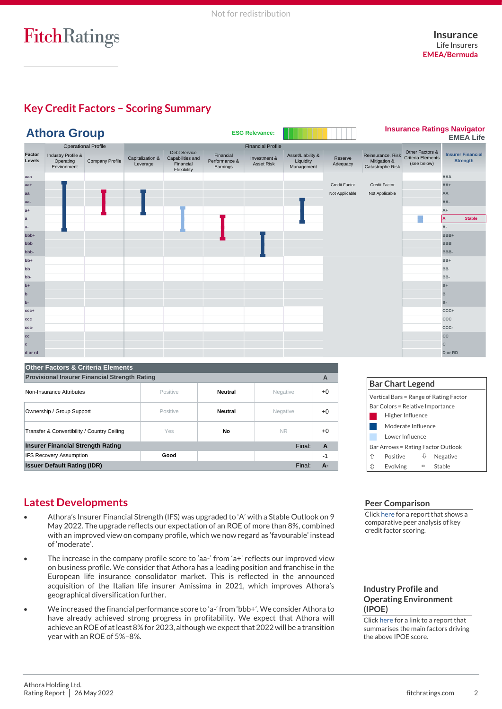# **Key Credit Factors – Scoring Summary**

|                   | <b>Athora Group</b>                            |                                   |                              |                                                                     |                                        | <b>ESG Relevance:</b>             |                                              |                     |                                                       |                                                     | <b>Insurance Ratings Navigator</b><br><b>EMEA Life</b> |
|-------------------|------------------------------------------------|-----------------------------------|------------------------------|---------------------------------------------------------------------|----------------------------------------|-----------------------------------|----------------------------------------------|---------------------|-------------------------------------------------------|-----------------------------------------------------|--------------------------------------------------------|
|                   |                                                | <b>Operational Profile</b>        |                              |                                                                     |                                        | <b>Financial Profile</b>          |                                              |                     |                                                       |                                                     |                                                        |
| Factor<br>Levels  | Industry Profile &<br>Operating<br>Environment | Company Profile                   | Capitalization &<br>Leverage | <b>Debt Service</b><br>Capabilities and<br>Financial<br>Flexibility | Financial<br>Performance &<br>Earnings | Investment &<br><b>Asset Risk</b> | Asset/Liability &<br>Liquidity<br>Management | Reserve<br>Adequacy | Reinsurance, Risk<br>Mitigation &<br>Catastrophe Risk | Other Factors &<br>Criteria Elements<br>(see below) | <b>Insurer Financial</b><br><b>Strength</b>            |
| aaa               |                                                |                                   |                              |                                                                     |                                        |                                   |                                              |                     |                                                       |                                                     | AAA                                                    |
| $aa+$             |                                                |                                   |                              |                                                                     |                                        |                                   |                                              | Credit Factor       | Credit Factor                                         |                                                     | $AA+$                                                  |
| aa                |                                                |                                   |                              |                                                                     |                                        |                                   |                                              | Not Applicable      | Not Applicable                                        |                                                     | AA                                                     |
| aa-               |                                                |                                   |                              |                                                                     |                                        |                                   |                                              |                     |                                                       |                                                     | AA-                                                    |
| $a+$              |                                                |                                   |                              |                                                                     |                                        |                                   |                                              |                     |                                                       |                                                     | A+                                                     |
| $\mathbf{a}$      |                                                |                                   |                              |                                                                     |                                        |                                   |                                              |                     |                                                       | L.                                                  | İА.<br><b>Stable</b>                                   |
| $a-$              |                                                |                                   |                              |                                                                     |                                        |                                   |                                              |                     |                                                       |                                                     | A-                                                     |
| bbb+              |                                                |                                   |                              |                                                                     |                                        |                                   |                                              |                     |                                                       |                                                     | BBB+                                                   |
| bbb               |                                                |                                   |                              |                                                                     |                                        |                                   |                                              |                     |                                                       |                                                     | <b>BBB</b>                                             |
| bbb-              |                                                |                                   |                              |                                                                     |                                        |                                   |                                              |                     |                                                       |                                                     | BBB-                                                   |
| bb+               |                                                |                                   |                              |                                                                     |                                        |                                   |                                              |                     |                                                       |                                                     | BB+                                                    |
| bb                |                                                |                                   |                              |                                                                     |                                        |                                   |                                              |                     |                                                       |                                                     | <b>BB</b>                                              |
| bb-               |                                                |                                   |                              |                                                                     |                                        |                                   |                                              |                     |                                                       |                                                     | BB-                                                    |
| $b+$              |                                                |                                   |                              |                                                                     |                                        |                                   |                                              |                     |                                                       |                                                     | $B+$                                                   |
| $\mathbf b$<br>b- |                                                |                                   |                              |                                                                     |                                        |                                   |                                              |                     |                                                       |                                                     | в                                                      |
| $ccc+$            |                                                |                                   |                              |                                                                     |                                        |                                   |                                              |                     |                                                       |                                                     | в-<br>CCC+                                             |
| ccc               |                                                |                                   |                              |                                                                     |                                        |                                   |                                              |                     |                                                       |                                                     | CCC                                                    |
| CCC-              |                                                |                                   |                              |                                                                     |                                        |                                   |                                              |                     |                                                       |                                                     | CCC-                                                   |
| cc                |                                                |                                   |                              |                                                                     |                                        |                                   |                                              |                     |                                                       |                                                     | cc                                                     |
| c                 |                                                |                                   |                              |                                                                     |                                        |                                   |                                              |                     |                                                       |                                                     | C.                                                     |
| d or rd           |                                                |                                   |                              |                                                                     |                                        |                                   |                                              |                     |                                                       |                                                     | D or RD                                                |
|                   |                                                |                                   |                              |                                                                     |                                        |                                   |                                              |                     |                                                       |                                                     |                                                        |
|                   |                                                | Other Factors & Criteria Elements |                              |                                                                     |                                        |                                   |                                              |                     |                                                       |                                                     |                                                        |

| <b>Other Factors &amp; Criteria Elements</b>              |          |                |           |      |  |
|-----------------------------------------------------------|----------|----------------|-----------|------|--|
| <b>Provisional Insurer Financial Strength Rating</b><br>A |          |                |           |      |  |
| Non-Insurance Attributes                                  | Positive | <b>Neutral</b> | Negative  | $+0$ |  |
| Ownership / Group Support                                 | Positive | <b>Neutral</b> | Negative  | $+0$ |  |
| Transfer & Convertibility / Country Ceiling               | Yes      | No.            | <b>NR</b> | $+0$ |  |
| <b>Insurer Financial Strength Rating</b><br>Final:<br>A   |          |                |           |      |  |
| <b>IFS Recovery Assumption</b>                            | Good     |                |           | $-1$ |  |
| <b>Issuer Default Rating (IDR)</b>                        |          |                | Final:    | А-   |  |

| <b>Bar Chart Legend</b>                |          |   |          |  |
|----------------------------------------|----------|---|----------|--|
| Vertical Bars = Range of Rating Factor |          |   |          |  |
| Bar Colors = Relative Importance       |          |   |          |  |
| Higher Influence                       |          |   |          |  |
| Moderate Influence                     |          |   |          |  |
| Lower Influence                        |          |   |          |  |
| Bar Arrows = Rating Factor Outlook     |          |   |          |  |
| ⇑                                      | Positive | ⇩ | Negative |  |
| ⇕                                      | Evolving | ▭ | Stable   |  |

# **Latest Developments**

- Athora's Insurer Financial Strength (IFS) was upgraded to 'A' with a Stable Outlook on 9 May 2022. The upgrade reflects our expectation of an ROE of more than 8%, combined with an improved view on company profile, which we now regard as 'favourable' instead of 'moderate'.
- The increase in the company profile score to 'aa-' from 'a+' reflects our improved view on business profile. We consider that Athora has a leading position and franchise in the European life insurance consolidator market. This is reflected in the announced acquisition of the Italian life insurer Amissima in 2021, which improves Athora's geographical diversification further.
- We increased the financial performance score to 'a-' from 'bbb+'. We consider Athora to have already achieved strong progress in profitability. We expect that Athora will achieve an ROE of at least 8% for 2023, although we expect that 2022 will be a transition year with an ROE of 5%–8%.

### **Peer Comparison**

Clic[k here](https://app.fitchconnect.com/search/research/article/RPT_10184459?jwt=eyJhbGciOiJIUzUxMiJ9.eyJzdWIiOiJ3YXRlcm1hcmsiLCJ1c2VySUQiOiI2MWZjMDJhMmZmOGZkOTAwMDFmMWU4MjgiLCJkb2NJRCI6IkZSX1JQVF8xMDIwMTIzNiIsIlVVSUQiOiI2M2VkYTEyZC02MDMzLTRiYWYtYTRhYy0yZDkyZDQxYjlmNTkiLCJjbGllbnRJRCI6IjJVZ2ZqU3ZFbjEwUDlMNVkxUWRYUWgiLCJ0aW1lc3RhbXAiOnsibmFubyI6NTQ2OTg2MDAwLCJ5ZWFyIjoyMDIyLCJtb250aFZhbHVlIjo1LCJkYXlPZk1vbnRoIjoyNywiaG91ciI6OSwibWludXRlIjo1Nywic2Vjb25kIjo1OCwiZGF5T2ZXZWVrIjoiRlJJREFZIiwiZGF5T2ZZZWFyIjoxNDcsIm1vbnRoIjoiTUFZIiwiY2hyb25vbG9neSI6eyJpZCI6IklTTyIsImNhbGVuZGFyVHlwZSI6Imlzbzg2MDEifX19.RzhVtr5M5hrmaLLCA_c3nHu5TA_Atxfnd7RG1sM2jvxrBE171ZWrn3ZzdrKz2LahRAzF2e4HGNdxg86cBALJIw) for a report that shows a comparative peer analysis of key credit factor scoring.

#### **Industry Profile and Operating Environment (IPOE)**

Clic[k here](https://app.fitchconnect.com/search/research/article/RPT_10168993?jwt=eyJhbGciOiJIUzUxMiJ9.eyJzdWIiOiJ3YXRlcm1hcmsiLCJ1c2VySUQiOiI2MWZjMDJhMmZmOGZkOTAwMDFmMWU4MjgiLCJkb2NJRCI6IkZSX1JQVF8xMDIwMTIzNiIsIlVVSUQiOiI2M2VkYTEyZC02MDMzLTRiYWYtYTRhYy0yZDkyZDQxYjlmNTkiLCJjbGllbnRJRCI6IjJVZ2ZqU3ZFbjEwUDlMNVkxUWRYUWgiLCJ0aW1lc3RhbXAiOnsibmFubyI6NTQ2OTg2MDAwLCJ5ZWFyIjoyMDIyLCJtb250aFZhbHVlIjo1LCJkYXlPZk1vbnRoIjoyNywiaG91ciI6OSwibWludXRlIjo1Nywic2Vjb25kIjo1OCwiZGF5T2ZXZWVrIjoiRlJJREFZIiwiZGF5T2ZZZWFyIjoxNDcsIm1vbnRoIjoiTUFZIiwiY2hyb25vbG9neSI6eyJpZCI6IklTTyIsImNhbGVuZGFyVHlwZSI6Imlzbzg2MDEifX19.RzhVtr5M5hrmaLLCA_c3nHu5TA_Atxfnd7RG1sM2jvxrBE171ZWrn3ZzdrKz2LahRAzF2e4HGNdxg86cBALJIw) for a link to a report that summarises the main factors driving the above IPOE score.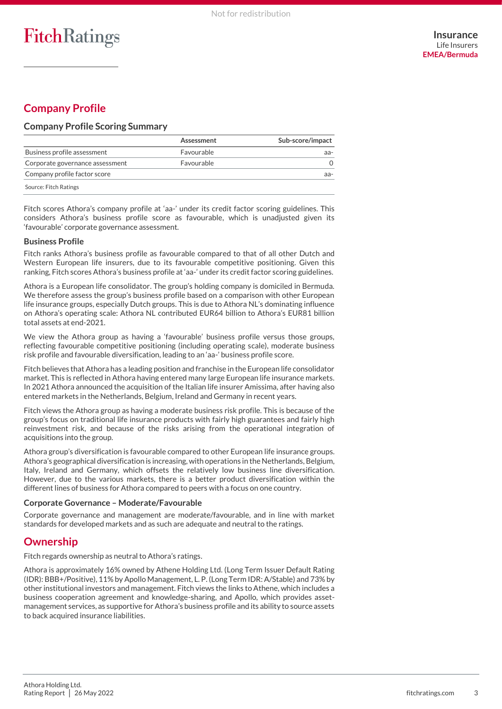# **Company Profile**

## **Company Profile Scoring Summary**

|                                 | Assessment | Sub-score/impact |
|---------------------------------|------------|------------------|
| Business profile assessment     | Favourable | aa-              |
| Corporate governance assessment | Favourable |                  |
| Company profile factor score    |            | aa-              |
| Source: Fitch Ratings           |            |                  |

Fitch scores Athora's company profile at 'aa-' under its credit factor scoring guidelines. This considers Athora's business profile score as favourable, which is unadjusted given its 'favourable' corporate governance assessment.

#### **Business Profile**

Fitch ranks Athora's business profile as favourable compared to that of all other Dutch and Western European life insurers, due to its favourable competitive positioning. Given this ranking, Fitch scores Athora's business profile at 'aa-' under its credit factor scoring guidelines.

Athora is a European life consolidator. The group's holding company is domiciled in Bermuda. We therefore assess the group's business profile based on a comparison with other European life insurance groups, especially Dutch groups. This is due to Athora NL's dominating influence on Athora's operating scale: Athora NL contributed EUR64 billion to Athora's EUR81 billion total assets at end-2021.

We view the Athora group as having a 'favourable' business profile versus those groups, reflecting favourable competitive positioning (including operating scale), moderate business risk profile and favourable diversification, leading to an 'aa-' business profile score.

Fitch believes that Athora has a leading position and franchise in the European life consolidator market. This is reflected in Athora having entered many large European life insurance markets. In 2021 Athora announced the acquisition of the Italian life insurer Amissima, after having also entered markets in the Netherlands, Belgium, Ireland and Germany in recent years.

Fitch views the Athora group as having a moderate business risk profile. This is because of the group's focus on traditional life insurance products with fairly high guarantees and fairly high reinvestment risk, and because of the risks arising from the operational integration of acquisitions into the group.

Athora group's diversification is favourable compared to other European life insurance groups. Athora's geographical diversification is increasing, with operations in the Netherlands, Belgium, Italy, Ireland and Germany, which offsets the relatively low business line diversification. However, due to the various markets, there is a better product diversification within the different lines of business for Athora compared to peers with a focus on one country.

#### **Corporate Governance – Moderate/Favourable**

Corporate governance and management are moderate/favourable, and in line with market standards for developed markets and as such are adequate and neutral to the ratings.

## **Ownership**

Fitch regards ownership as neutral to Athora's ratings.

Athora is approximately 16% owned by Athene Holding Ltd. (Long Term Issuer Default Rating (IDR): BBB+/Positive), 11% by Apollo Management, L. P. (Long Term IDR: A/Stable) and 73% by other institutional investors and management. Fitch views the links to Athene, which includes a business cooperation agreement and knowledge-sharing, and Apollo, which provides assetmanagement services, as supportive for Athora's business profile and its ability to source assets to back acquired insurance liabilities.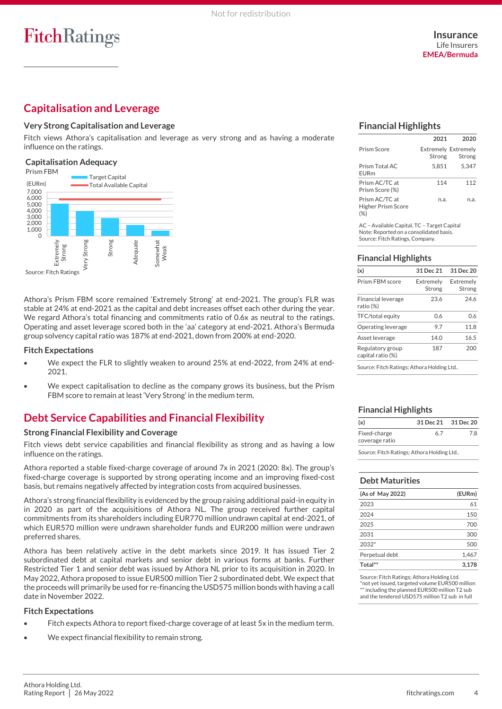# **Capitalisation and Leverage**

#### **Very Strong Capitalisation and Leverage**

Fitch views Athora's capitalisation and leverage as very strong and as having a moderate influence on the ratings.

#### **Capitalisation Adequacy**



Athora's Prism FBM score remained 'Extremely Strong' at end-2021. The group's FLR was stable at 24% at end-2021 as the capital and debt increases offset each other during the year. We regard Athora's total financing and commitments ratio of 0.6x as neutral to the ratings. Operating and asset leverage scored both in the 'aa' category at end-2021. Athora's Bermuda group solvency capital ratio was 187% at end-2021, down from 200% at end-2020.

#### **Fitch Expectations**

- We expect the FLR to slightly weaken to around 25% at end-2022, from 24% at end-2021.
- We expect capitalisation to decline as the company grows its business, but the Prism FBM score to remain at least 'Very Strong' in the medium term.

# **Debt Service Capabilities and Financial Flexibility**

#### **Strong Financial Flexibility and Coverage**

Fitch views debt service capabilities and financial flexibility as strong and as having a low influence on the ratings.

Athora reported a stable fixed-charge coverage of around 7x in 2021 (2020: 8x). The group's fixed-charge coverage is supported by strong operating income and an improving fixed-cost basis, but remains negatively affected by integration costs from acquired businesses.

Athora's strong financial flexibility is evidenced by the group raising additional paid-in equity in in 2020 as part of the acquisitions of Athora NL. The group received further capital commitments from its shareholders including EUR770 million undrawn capital at end-2021, of which EUR570 million were undrawn shareholder funds and EUR200 million were undrawn preferred shares.

Athora has been relatively active in the debt markets since 2019. It has issued Tier 2 subordinated debt at capital markets and senior debt in various forms at banks. Further Restricted Tier 1 and senior debt was issued by Athora NL prior to its acquisition in 2020. In May 2022, Athora proposed to issue EUR500 million Tier 2 subordinated debt. We expect that the proceeds will primarily be used for re-financing the USD575 million bonds with having a call date in November 2022.

#### **Fitch Expectations**

- Fitch expects Athora to report fixed-charge coverage of at least 5x in the medium term.
- We expect financial flexibility to remain strong.

## **Financial Highlights**

|                                      | 2021   | 2020                                 |
|--------------------------------------|--------|--------------------------------------|
| Prism Score                          | Strong | <b>Extremely Extremely</b><br>Strong |
| Prism Total AC<br><b>FURm</b>        | 5.851  | 5.347                                |
| Prism AC/TC at<br>Prism Score (%)    | 114    | 112                                  |
| Prism AC/TC at<br>Higher Prism Score | n.a.   | n.a.                                 |

AC – Available Capital, TC – Target Capital Note: Reported on a consolidated basis. Source: Fitch Ratings, Company.

### **Financial Highlights**

| (x)                                    | 31 Dec 21           | 31 Dec 20           |
|----------------------------------------|---------------------|---------------------|
| Prism FBM score                        | Extremely<br>Strong | Extremelv<br>Strong |
| <b>Financial leverage</b><br>ratio (%) | 23.6                | 246                 |
| TFC/total equity                       | 0.6                 | 0.6                 |
| Operating leverage                     | 97                  | 11.8                |
| Asset leverage                         | 140                 | 16.5                |
| Regulatory group<br>capital ratio (%)  | 187                 | 200                 |

Source: Fitch Ratings; Athora Holding Ltd..

### **Financial Highlights**

| (x)                            | 31 Dec 21 31 Dec 20 |    |
|--------------------------------|---------------------|----|
| Fixed-charge<br>coverage ratio | 67                  | 78 |

Source: Fitch Ratings; Athora Holding Ltd..

#### **Debt Maturities**

| (As of May 2022) | (EURm) |
|------------------|--------|
| 2023             | 61     |
| 2024             | 150    |
| 2025             | 700    |
| 2031             | 300    |
| $2032*$          | 500    |
| Perpetual debt   | 1.467  |
| Total**          | 3.178  |

Source: Fitch Ratings; Athora Holding Ltd. \*not yet issued, targeted volume EUR500 million \*\* including the planned EUR500 million T2 sub and the tendered USD575 million T2 sub in full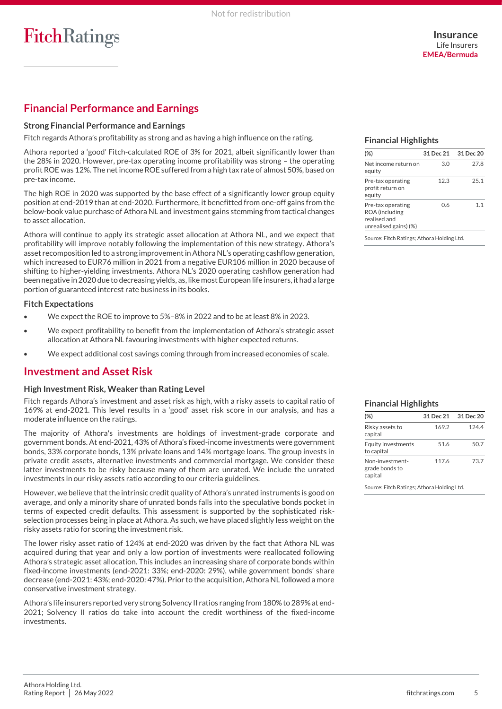# **Financial Performance and Earnings**

#### **Strong Financial Performance and Earnings**

Fitch regards Athora's profitability as strong and as having a high influence on the rating.

Athora reported a 'good' Fitch-calculated ROE of 3% for 2021, albeit significantly lower than the 28% in 2020. However, pre-tax operating income profitability was strong – the operating profit ROE was 12%. The net income ROE suffered from a high tax rate of almost 50%, based on pre-tax income.

The high ROE in 2020 was supported by the base effect of a significantly lower group equity position at end-2019 than at end-2020. Furthermore, it benefitted from one-off gains from the below-book value purchase of Athora NL and investment gains stemming from tactical changes to asset allocation.

Athora will continue to apply its strategic asset allocation at Athora NL, and we expect that profitability will improve notably following the implementation of this new strategy. Athora's asset recomposition led to a strong improvement in Athora NL's operating cashflow generation, which increased to EUR76 million in 2021 from a negative EUR106 million in 2020 because of shifting to higher-yielding investments. Athora NL's 2020 operating cashflow generation had been negative in 2020 due to decreasing yields, as, like most European life insurers, it had a large portion of guaranteed interest rate business in its books.

#### **Fitch Expectations**

- We expect the ROE to improve to 5%–8% in 2022 and to be at least 8% in 2023.
- We expect profitability to benefit from the implementation of Athora's strategic asset allocation at Athora NL favouring investments with higher expected returns.
- We expect additional cost savings coming through from increased economies of scale.

## **Investment and Asset Risk**

#### **High Investment Risk, Weaker than Rating Level**

Fitch regards Athora's investment and asset risk as high, with a risky assets to capital ratio of 169% at end-2021. This level results in a 'good' asset risk score in our analysis, and has a moderate influence on the ratings.

The majority of Athora's investments are holdings of investment-grade corporate and government bonds. At end-2021, 43% of Athora's fixed-income investments were government bonds, 33% corporate bonds, 13% private loans and 14% mortgage loans. The group invests in private credit assets, alternative investments and commercial mortgage. We consider these latter investments to be risky because many of them are unrated. We include the unrated investments in our risky assets ratio according to our criteria guidelines.

However, we believe that the intrinsic credit quality of Athora's unrated instruments is good on average, and only a minority share of unrated bonds falls into the speculative bonds pocket in terms of expected credit defaults. This assessment is supported by the sophisticated riskselection processes being in place at Athora. As such, we have placed slightly less weight on the risky assets ratio for scoring the investment risk.

The lower risky asset ratio of 124% at end-2020 was driven by the fact that Athora NL was acquired during that year and only a low portion of investments were reallocated following Athora's strategic asset allocation. This includes an increasing share of corporate bonds within fixed-income investments (end-2021: 33%; end-2020: 29%), while government bonds' share decrease (end-2021: 43%; end-2020: 47%). Prior to the acquisition, Athora NL followed a more conservative investment strategy.

Athora's life insurers reported very strong Solvency II ratios ranging from 180% to 289% at end-2021; Solvency II ratios do take into account the credit worthiness of the fixed-income investments.

#### **Financial Highlights**

| (%)                                                                          | 31 Dec 21 | 31 Dec 20 |
|------------------------------------------------------------------------------|-----------|-----------|
| Net income return on<br>equity                                               | 3.O       | 27.8      |
| Pre-tax operating<br>profit return on<br>equity                              | 12.3      | 25.1      |
| Pre-tax operating<br>ROA (including<br>realised and<br>unrealised gains) (%) | 06        | 11        |

Source: Fitch Ratings; Athora Holding Ltd.

### **Financial Highlights**

| $(\%)$                                       | 31 Dec 21 | 31 Dec 20 |
|----------------------------------------------|-----------|-----------|
| Risky assets to<br>capital                   | 169.2     | 1244      |
| Equity investments<br>to capital             | 51.6      | 50.7      |
| Non-investment-<br>grade bonds to<br>capital | 117.6     | 73.7      |

Source: Fitch Ratings; Athora Holding Ltd.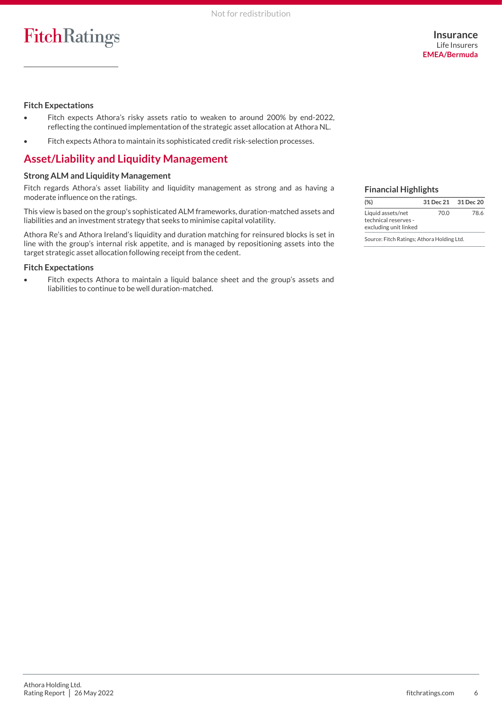#### **Fitch Expectations**

- Fitch expects Athora's risky assets ratio to weaken to around 200% by end-2022, reflecting the continued implementation of the strategic asset allocation at Athora NL.
- Fitch expects Athora to maintain its sophisticated credit risk-selection processes.

## **Asset/Liability and Liquidity Management**

#### **Strong ALM and Liquidity Management**

Fitch regards Athora's asset liability and liquidity management as strong and as having a moderate influence on the ratings.

This view is based on the group's sophisticated ALM frameworks, duration-matched assets and liabilities and an investment strategy that seeks to minimise capital volatility.

Athora Re's and Athora Ireland's liquidity and duration matching for reinsured blocks is set in line with the group's internal risk appetite, and is managed by repositioning assets into the target strategic asset allocation following receipt from the cedent.

#### **Fitch Expectations**

• Fitch expects Athora to maintain a liquid balance sheet and the group's assets and liabilities to continue to be well duration-matched.

#### **Financial Highlights**

| $(\%)$                                                             |      | 31 Dec 21 31 Dec 20 |  |  |
|--------------------------------------------------------------------|------|---------------------|--|--|
| Liquid assets/net<br>technical reserves -<br>excluding unit linked | 70.0 | 78.6                |  |  |

Source: Fitch Ratings; Athora Holding Ltd.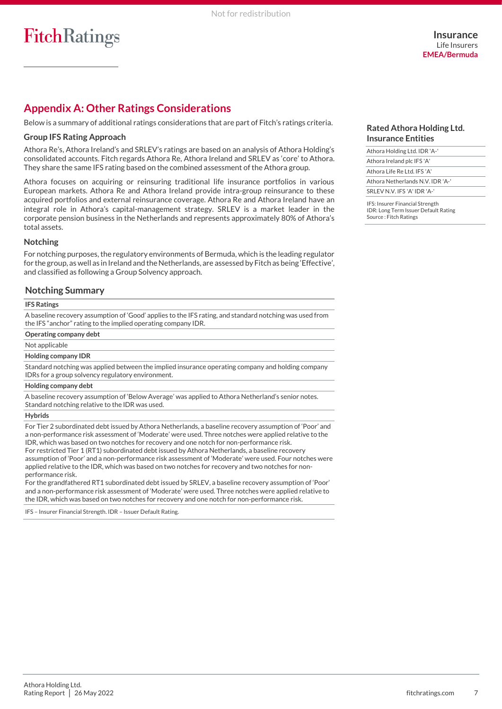## **Appendix A: Other Ratings Considerations**

Below is a summary of additional ratings considerations that are part of Fitch's ratings criteria.

#### **Group IFS Rating Approach**

Athora Re's, Athora Ireland's and SRLEV's ratings are based on an analysis of Athora Holding's consolidated accounts. Fitch regards Athora Re, Athora Ireland and SRLEV as 'core' to Athora. They share the same IFS rating based on the combined assessment of the Athora group.

Athora focuses on acquiring or reinsuring traditional life insurance portfolios in various European markets. Athora Re and Athora Ireland provide intra-group reinsurance to these acquired portfolios and external reinsurance coverage. Athora Re and Athora Ireland have an integral role in Athora's capital-management strategy. SRLEV is a market leader in the corporate pension business in the Netherlands and represents approximately 80% of Athora's total assets.

#### **Notching**

For notching purposes, the regulatory environments of Bermuda, which is the leading regulator for the group, as well as in Ireland and the Netherlands, are assessed by Fitch as being 'Effective', and classified as following a Group Solvency approach.

### **Notching Summary**

#### **IFS Ratings**

A baseline recovery assumption of 'Good' applies to the IFS rating, and standard notching was used from the IFS "anchor" rating to the implied operating company IDR.

#### **Operating company debt**

#### Not applicable

#### **Holding company IDR**

Standard notching was applied between the implied insurance operating company and holding company IDRs for a group solvency regulatory environment.

#### **Holding company debt**

A baseline recovery assumption of 'Below Average' was applied to Athora Netherland's senior notes. Standard notching relative to the IDR was used.

#### **Hybrids**

For Tier 2 subordinated debt issued by Athora Netherlands, a baseline recovery assumption of 'Poor' and a non-performance risk assessment of 'Moderate' were used. Three notches were applied relative to the IDR, which was based on two notches for recovery and one notch for non-performance risk. For restricted Tier 1 (RT1) subordinated debt issued by Athora Netherlands, a baseline recovery assumption of 'Poor' and a non-performance risk assessment of 'Moderate' were used. Four notches were applied relative to the IDR, which was based on two notches for recovery and two notches for nonperformance risk.

For the grandfathered RT1 subordinated debt issued by SRLEV, a baseline recovery assumption of 'Poor' and a non-performance risk assessment of 'Moderate' were used. Three notches were applied relative to the IDR, which was based on two notches for recovery and one notch for non-performance risk.

IFS – Insurer Financial Strength. IDR – Issuer Default Rating.

#### **Rated Athora Holding Ltd. Insurance Entities**

| Athora Holding Ltd. IDR 'A-'           |
|----------------------------------------|
| Athora Ireland plc IFS 'A'             |
| Athora Life Re Ltd. IFS 'A'            |
| Athora Netherlands N.V. IDR 'A-'       |
| SRI FV N V IFS 'A' IDR 'A-'            |
| <b>IFS: Insurer Financial Strength</b> |

IFS: Insurer Financial Strength IDR: Long Term Issuer Default Rating Source : Fitch Ratings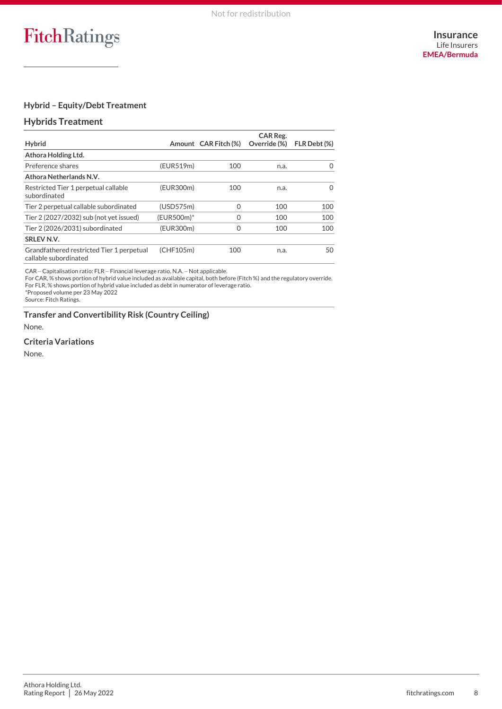## **Hybrid – Equity/Debt Treatment**

### **Hybrids Treatment**

| <b>Hybrid</b>                                                      |            | Amount CAR Fitch (%) | CAR Reg.<br>Override (%) | FLR Debt (%) |
|--------------------------------------------------------------------|------------|----------------------|--------------------------|--------------|
|                                                                    |            |                      |                          |              |
| Athora Holding Ltd.                                                |            |                      |                          |              |
| Preference shares                                                  | (EUR519m)  | 100                  | n.a.                     | $\Omega$     |
| Athora Netherlands N.V.                                            |            |                      |                          |              |
| Restricted Tier 1 perpetual callable<br>subordinated               | (EUR300m)  | 100                  | n.a.                     | $\Omega$     |
| Tier 2 perpetual callable subordinated                             | (USD575m)  | 0                    | 100                      | 100          |
| Tier 2 (2027/2032) sub (not yet issued)                            | (EUR500m)* | Ω                    | 100                      | 100          |
| Tier 2 (2026/2031) subordinated                                    | (EUR300m)  | 0                    | 100                      | 100          |
| SRLEV N.V.                                                         |            |                      |                          |              |
| Grandfathered restricted Tier 1 perpetual<br>callable subordinated | (CHF105m)  | 100                  | n.a.                     | 50           |

CAR − Capitalisation ratio: FLR − Financial leverage ratio. N.A. − Not applicable.

For CAR, % shows portion of hybrid value included as available capital, both before (Fitch %) and the regulatory override. For FLR, % shows portion of hybrid value included as debt in numerator of leverage ratio.

\*Proposed volume per 23 May 2022

Source: Fitch Ratings.

**Transfer and Convertibility Risk (Country Ceiling)**

None.

### **Criteria Variations**

None.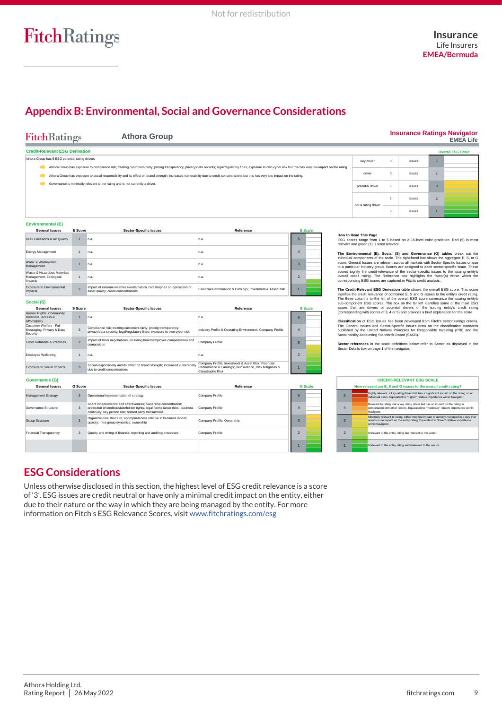# **Appendix B: Environmental, Social and Governance Considerations**

| <b>FitchRatings</b>                                                           |                                                                                                                                                                                                                                                                                                                                                                                                               | <b>Athora Group</b>                                                                                                                                                                                       |                                                                                                                                   |                                                    |                                                                                                                                                                                                                                                                                                                                                                                                                                                                                                                                                                                                                                                                                                                                                                               |                | <b>Insurance Ratings Navigator</b>                                                                                                                                             |                | <b>EMEA Life</b>         |
|-------------------------------------------------------------------------------|---------------------------------------------------------------------------------------------------------------------------------------------------------------------------------------------------------------------------------------------------------------------------------------------------------------------------------------------------------------------------------------------------------------|-----------------------------------------------------------------------------------------------------------------------------------------------------------------------------------------------------------|-----------------------------------------------------------------------------------------------------------------------------------|----------------------------------------------------|-------------------------------------------------------------------------------------------------------------------------------------------------------------------------------------------------------------------------------------------------------------------------------------------------------------------------------------------------------------------------------------------------------------------------------------------------------------------------------------------------------------------------------------------------------------------------------------------------------------------------------------------------------------------------------------------------------------------------------------------------------------------------------|----------------|--------------------------------------------------------------------------------------------------------------------------------------------------------------------------------|----------------|--------------------------|
| <b>Credit-Relevant ESG Derivation</b>                                         |                                                                                                                                                                                                                                                                                                                                                                                                               |                                                                                                                                                                                                           |                                                                                                                                   |                                                    |                                                                                                                                                                                                                                                                                                                                                                                                                                                                                                                                                                                                                                                                                                                                                                               |                |                                                                                                                                                                                |                | <b>Overall ESG Scale</b> |
| Athora Group has 6 ESG potential rating drivers                               |                                                                                                                                                                                                                                                                                                                                                                                                               |                                                                                                                                                                                                           | key driver                                                                                                                        | $\mathbf 0$                                        | issues                                                                                                                                                                                                                                                                                                                                                                                                                                                                                                                                                                                                                                                                                                                                                                        | 5              |                                                                                                                                                                                |                |                          |
|                                                                               | Athora Group has exposure to compliance risk; treating customers fairly; pricing transparency; privacy/data security; legal/regulatory fines; exposure to own cyber risk but this has very low impact on the rating.<br>Athora Group has exposure to social responsibility and its effect on brand strength; increased vulnerability due to credit concentrations but this has very low impact on the rating. |                                                                                                                                                                                                           |                                                                                                                                   |                                                    | driver                                                                                                                                                                                                                                                                                                                                                                                                                                                                                                                                                                                                                                                                                                                                                                        | $\mathbf 0$    | issues                                                                                                                                                                         | $\overline{4}$ |                          |
| Governance is minimally relevant to the rating and is not currently a driver. |                                                                                                                                                                                                                                                                                                                                                                                                               |                                                                                                                                                                                                           |                                                                                                                                   |                                                    | potential driver                                                                                                                                                                                                                                                                                                                                                                                                                                                                                                                                                                                                                                                                                                                                                              | 6              | issues                                                                                                                                                                         | $\overline{3}$ |                          |
|                                                                               |                                                                                                                                                                                                                                                                                                                                                                                                               |                                                                                                                                                                                                           |                                                                                                                                   | $\overline{2}$                                     | issues                                                                                                                                                                                                                                                                                                                                                                                                                                                                                                                                                                                                                                                                                                                                                                        | $\overline{2}$ |                                                                                                                                                                                |                |                          |
|                                                                               |                                                                                                                                                                                                                                                                                                                                                                                                               |                                                                                                                                                                                                           |                                                                                                                                   | not a rating driver                                | 6                                                                                                                                                                                                                                                                                                                                                                                                                                                                                                                                                                                                                                                                                                                                                                             | issues         | R                                                                                                                                                                              |                |                          |
| <b>Environmental (E)</b>                                                      |                                                                                                                                                                                                                                                                                                                                                                                                               |                                                                                                                                                                                                           |                                                                                                                                   |                                                    |                                                                                                                                                                                                                                                                                                                                                                                                                                                                                                                                                                                                                                                                                                                                                                               |                |                                                                                                                                                                                |                |                          |
| <b>General Issues</b>                                                         | E Score                                                                                                                                                                                                                                                                                                                                                                                                       | <b>Sector-Specific Issues</b>                                                                                                                                                                             | Reference                                                                                                                         | <b>E</b> Scale                                     |                                                                                                                                                                                                                                                                                                                                                                                                                                                                                                                                                                                                                                                                                                                                                                               |                |                                                                                                                                                                                |                |                          |
| GHG Emissions & Air Quality                                                   | 1                                                                                                                                                                                                                                                                                                                                                                                                             | n.a.                                                                                                                                                                                                      | n.a.                                                                                                                              | 5                                                  | How to Read This Page<br>ESG scores range from 1 to 5 based on a 15-level color gradation. Red (5) is most<br>relevant and green (1) is least relevant.<br>The Environmental (E), Social (S) and Governance (G) tables break out the<br>individual components of the scale. The right-hand box shows the aggregate E, S, or G<br>score. General Issues are relevant across all markets with Sector-Specific Issues unique<br>to a particular industry group. Scores are assigned to each sector-specific issue. These<br>scores signify the credit-relevance of the sector-specific issues to the issuing entity's<br>overall credit rating. The Reference box highlights the factor(s) within which the<br>corresponding ESG issues are captured in Fitch's credit analysis. |                |                                                                                                                                                                                |                |                          |
| <b>Energy Management</b>                                                      | 1                                                                                                                                                                                                                                                                                                                                                                                                             | n.a                                                                                                                                                                                                       | n.a.                                                                                                                              | $\overline{4}$                                     |                                                                                                                                                                                                                                                                                                                                                                                                                                                                                                                                                                                                                                                                                                                                                                               |                |                                                                                                                                                                                |                |                          |
| Water & Wastewater<br>Management                                              | 1                                                                                                                                                                                                                                                                                                                                                                                                             | In.a.                                                                                                                                                                                                     | n.a.                                                                                                                              | $\overline{3}$                                     |                                                                                                                                                                                                                                                                                                                                                                                                                                                                                                                                                                                                                                                                                                                                                                               |                |                                                                                                                                                                                |                |                          |
| Waste & Hazardous Materials<br>Management; Ecological<br>Impacts              | 1                                                                                                                                                                                                                                                                                                                                                                                                             | n.a.                                                                                                                                                                                                      | n.a.                                                                                                                              | $\overline{2}$                                     |                                                                                                                                                                                                                                                                                                                                                                                                                                                                                                                                                                                                                                                                                                                                                                               |                |                                                                                                                                                                                |                |                          |
| Exposure to Environmental<br>Impacts                                          | $\overline{z}$                                                                                                                                                                                                                                                                                                                                                                                                | Impact of extreme weather events/natural catastrophes on operations or<br>asset quality; credit concentrations                                                                                            | Financial Performance & Earnings; Investment & Asset Risk                                                                         |                                                    | The Credit-Relevant ESG Derivation table shows the overall ESG score. This score<br>signifies the credit relevance of combined E, S and G issues to the entity's credit rating.                                                                                                                                                                                                                                                                                                                                                                                                                                                                                                                                                                                               |                |                                                                                                                                                                                |                |                          |
| Social (S)                                                                    |                                                                                                                                                                                                                                                                                                                                                                                                               |                                                                                                                                                                                                           |                                                                                                                                   |                                                    | The three columns to the left of the overall ESG score summarize the issuing entity's                                                                                                                                                                                                                                                                                                                                                                                                                                                                                                                                                                                                                                                                                         |                |                                                                                                                                                                                |                |                          |
| <b>General Issues</b>                                                         | S Score                                                                                                                                                                                                                                                                                                                                                                                                       | <b>Sector-Specific Issues</b>                                                                                                                                                                             | Reference                                                                                                                         | <b>S</b> Scale                                     | sub-component ESG scores. The box on the far left identifies some of the main ESG<br>issues that are drivers or potential drivers of the issuing entity's credit rating                                                                                                                                                                                                                                                                                                                                                                                                                                                                                                                                                                                                       |                |                                                                                                                                                                                |                |                          |
| Human Rights, Community<br>Relations, Access &<br>Affordability               | 1                                                                                                                                                                                                                                                                                                                                                                                                             | n.a.                                                                                                                                                                                                      | n.a.                                                                                                                              | $5\phantom{1}$                                     | (corresponding with scores of 3, 4 or 5) and provides a brief explanation for the score.<br>Classification of ESG issues has been developed from Fitch's sector ratings criteria.                                                                                                                                                                                                                                                                                                                                                                                                                                                                                                                                                                                             |                |                                                                                                                                                                                |                |                          |
| Customer Welfare - Fair<br>Messaging, Privacy & Data<br>Security              | $\mathbf{3}$                                                                                                                                                                                                                                                                                                                                                                                                  | Compliance risk; treating customers fairly; pricing transparency;<br>privacy/data security; legal/regulatory fines; exposure to own cyber risk                                                            | Industry Profile & Operating Environment; Company Profile                                                                         | $\overline{4}$                                     | The General Issues and Sector-Specific Issues draw on the classification standards<br>published by the United Nations Principles for Responsible Investing (PRI) and the<br>Sustainability Accounting Standards Board (SASB).<br>Sector references in the scale definitions below refer to Sector as displayed in the<br>Sector Details box on page 1 of the navigator.                                                                                                                                                                                                                                                                                                                                                                                                       |                |                                                                                                                                                                                |                |                          |
| Labor Relations & Practices                                                   | $\overline{2}$                                                                                                                                                                                                                                                                                                                                                                                                | Impact of labor negotiations, including board/employee compensation and<br>composition                                                                                                                    | Company Profile                                                                                                                   | $\overline{3}$                                     |                                                                                                                                                                                                                                                                                                                                                                                                                                                                                                                                                                                                                                                                                                                                                                               |                |                                                                                                                                                                                |                |                          |
| Employee Wellbeing                                                            | 1                                                                                                                                                                                                                                                                                                                                                                                                             | n.a.                                                                                                                                                                                                      | n.a.                                                                                                                              | $\overline{2}$                                     |                                                                                                                                                                                                                                                                                                                                                                                                                                                                                                                                                                                                                                                                                                                                                                               |                |                                                                                                                                                                                |                |                          |
| Exposure to Social Impacts                                                    | $\overline{3}$                                                                                                                                                                                                                                                                                                                                                                                                | Social responsibility and its effect on brand strength; increased vulnerability<br>due to credit concentrations                                                                                           | Company Profile; Investment & Asset Risk; Financial<br>Performance & Earnings; Reinsurance, Risk Mitigation &<br>Catastrophe Risk |                                                    |                                                                                                                                                                                                                                                                                                                                                                                                                                                                                                                                                                                                                                                                                                                                                                               |                |                                                                                                                                                                                |                |                          |
| Governance (G)                                                                |                                                                                                                                                                                                                                                                                                                                                                                                               |                                                                                                                                                                                                           |                                                                                                                                   |                                                    |                                                                                                                                                                                                                                                                                                                                                                                                                                                                                                                                                                                                                                                                                                                                                                               |                | <b>CREDIT-RELEVANT ESG SCALE</b>                                                                                                                                               |                |                          |
| <b>General Issues</b>                                                         | <b>G</b> Score                                                                                                                                                                                                                                                                                                                                                                                                | <b>Sector-Specific Issues</b>                                                                                                                                                                             | Reference                                                                                                                         | <b>G</b> Scale                                     |                                                                                                                                                                                                                                                                                                                                                                                                                                                                                                                                                                                                                                                                                                                                                                               |                | How relevant are E, S and G issues to the overall credit rating?                                                                                                               |                |                          |
| Management Strategy                                                           | $\overline{3}$                                                                                                                                                                                                                                                                                                                                                                                                | Operational implementation of strategy                                                                                                                                                                    | Company Profile                                                                                                                   | $5\phantom{1}$<br>5                                |                                                                                                                                                                                                                                                                                                                                                                                                                                                                                                                                                                                                                                                                                                                                                                               |                | Highly relevant, a key rating driver that has a significant impact on the rating on an<br>individual basis. Equivalent to "higher" relative importance within Navigator.       |                |                          |
| Governance Structure                                                          | 3                                                                                                                                                                                                                                                                                                                                                                                                             | Board independence and effectiveness; ownership concentration;<br>protection of creditor/stakeholder rights; legal /compliance risks; business<br>continuity; key person risk; related party transactions | Company Profile                                                                                                                   | $\overline{4}$<br>$\Delta$                         | Navigator                                                                                                                                                                                                                                                                                                                                                                                                                                                                                                                                                                                                                                                                                                                                                                     |                | Relevant to rating, not a key rating driver but has an impact on the rating in<br>combination with other factors. Equivalent to "moderate" relative importance within          |                |                          |
| Group Structure                                                               | $\overline{\mathbf{3}}$                                                                                                                                                                                                                                                                                                                                                                                       | Organizational structure; appropriateness relative to business model;<br>opacity; intra-group dynamics; ownership                                                                                         | Company Profile; Ownership                                                                                                        | $\overline{\mathbf{3}}$<br>$\overline{\mathbf{3}}$ | within Navigator.                                                                                                                                                                                                                                                                                                                                                                                                                                                                                                                                                                                                                                                                                                                                                             |                | Minimally relevant to rating, either very low impact or actively managed in a way that<br>results in no impact on the entity rating. Equivalent to "lower" relative importance |                |                          |
| Financial Transparency                                                        | 3                                                                                                                                                                                                                                                                                                                                                                                                             | Quality and timing of financial reporting and auditing processes                                                                                                                                          | Company Profile                                                                                                                   | $\overline{2}$<br>$\overline{2}$                   |                                                                                                                                                                                                                                                                                                                                                                                                                                                                                                                                                                                                                                                                                                                                                                               |                | Irrelevant to the entity rating but relevant to the sector.                                                                                                                    |                |                          |

## **ESG Considerations**

Unless otherwise disclosed in this section, the highest level of ESG credit relevance is a score of '3'. ESG issues are credit neutral or have only a minimal credit impact on the entity, either due to their nature or the way in which they are being managed by the entity. For more information on Fitch's ESG Relevance Scores, visit [www.fitchratings.com/esg](http://www.fitchratings.com/esg)

**1 1 I** Ifrelevant to the entity rating and irrelevant to the sector.